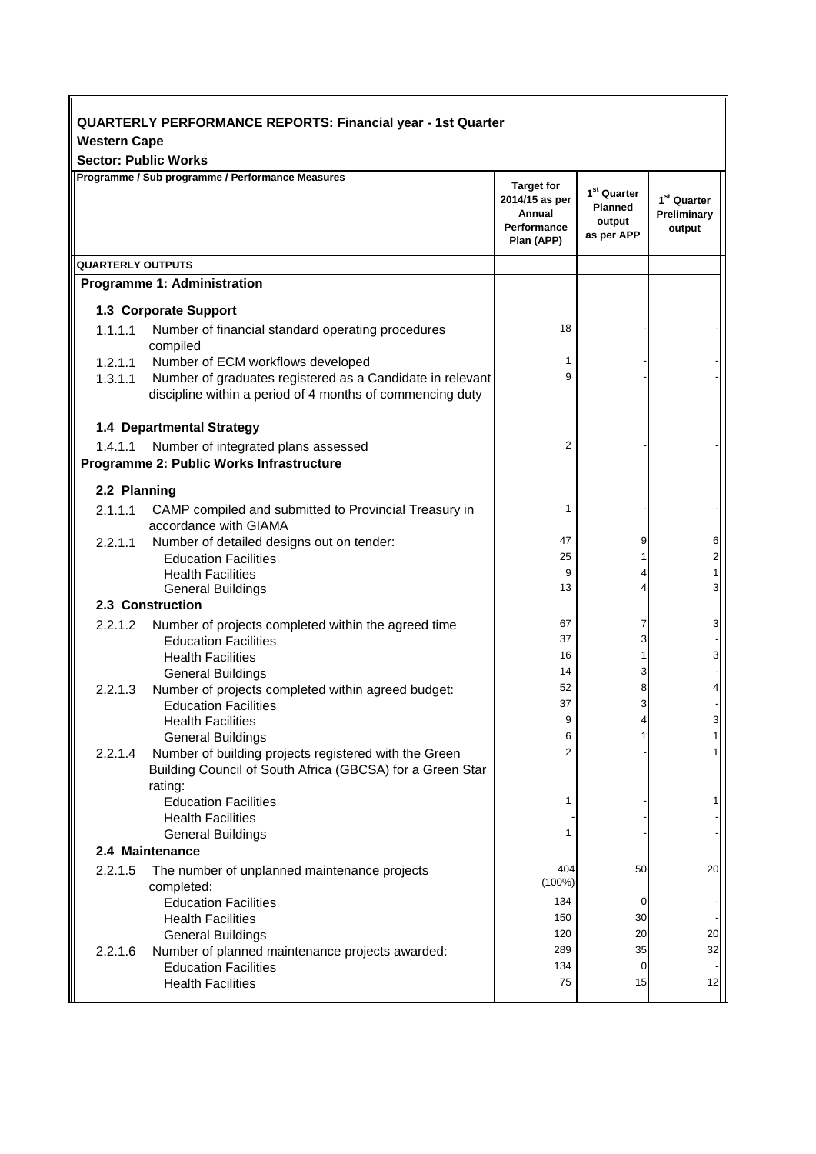| <b>QUARTERLY PERFORMANCE REPORTS: Financial year - 1st Quarter</b> |                                                                                    |                                                                                   |                                                                   |                                                  |  |  |  |
|--------------------------------------------------------------------|------------------------------------------------------------------------------------|-----------------------------------------------------------------------------------|-------------------------------------------------------------------|--------------------------------------------------|--|--|--|
| <b>Western Cape</b>                                                |                                                                                    |                                                                                   |                                                                   |                                                  |  |  |  |
| <b>Sector: Public Works</b>                                        |                                                                                    |                                                                                   |                                                                   |                                                  |  |  |  |
|                                                                    | Programme / Sub programme / Performance Measures                                   | <b>Target for</b><br>2014/15 as per<br>Annual<br><b>Performance</b><br>Plan (APP) | 1 <sup>st</sup> Quarter<br><b>Planned</b><br>output<br>as per APP | 1 <sup>st</sup> Quarter<br>Preliminary<br>output |  |  |  |
| <b>QUARTERLY OUTPUTS</b>                                           |                                                                                    |                                                                                   |                                                                   |                                                  |  |  |  |
|                                                                    | <b>Programme 1: Administration</b>                                                 |                                                                                   |                                                                   |                                                  |  |  |  |
| 1.3 Corporate Support                                              |                                                                                    |                                                                                   |                                                                   |                                                  |  |  |  |
| 1.1.1.1                                                            | Number of financial standard operating procedures<br>compiled                      | 18                                                                                |                                                                   |                                                  |  |  |  |
|                                                                    | 1.2.1.1 Number of ECM workflows developed                                          | 1                                                                                 |                                                                   |                                                  |  |  |  |
| 1.3.1.1                                                            | Number of graduates registered as a Candidate in relevant                          | 9                                                                                 |                                                                   |                                                  |  |  |  |
|                                                                    | discipline within a period of 4 months of commencing duty                          |                                                                                   |                                                                   |                                                  |  |  |  |
|                                                                    |                                                                                    |                                                                                   |                                                                   |                                                  |  |  |  |
|                                                                    | 1.4 Departmental Strategy                                                          |                                                                                   |                                                                   |                                                  |  |  |  |
| 1.4.1.1                                                            | Number of integrated plans assessed                                                | $\overline{2}$                                                                    |                                                                   |                                                  |  |  |  |
|                                                                    | Programme 2: Public Works Infrastructure                                           |                                                                                   |                                                                   |                                                  |  |  |  |
| 2.2 Planning                                                       |                                                                                    |                                                                                   |                                                                   |                                                  |  |  |  |
| 2.1.1.1                                                            | CAMP compiled and submitted to Provincial Treasury in                              | 1                                                                                 |                                                                   |                                                  |  |  |  |
|                                                                    | accordance with GIAMA                                                              |                                                                                   |                                                                   |                                                  |  |  |  |
| 2.2.1.1                                                            | Number of detailed designs out on tender:                                          | 47                                                                                | 9                                                                 | 6                                                |  |  |  |
|                                                                    | <b>Education Facilities</b>                                                        | 25                                                                                | 1                                                                 | $\overline{2}$                                   |  |  |  |
|                                                                    | <b>Health Facilities</b>                                                           | 9<br>13                                                                           | 4                                                                 | 3                                                |  |  |  |
| <b>General Buildings</b><br>2.3 Construction                       |                                                                                    |                                                                                   |                                                                   |                                                  |  |  |  |
|                                                                    |                                                                                    | 67                                                                                |                                                                   |                                                  |  |  |  |
| 2.2.1.2                                                            | Number of projects completed within the agreed time<br><b>Education Facilities</b> | 37                                                                                | 7<br>3                                                            |                                                  |  |  |  |
|                                                                    | <b>Health Facilities</b>                                                           | 16                                                                                | 1                                                                 |                                                  |  |  |  |
|                                                                    | <b>General Buildings</b>                                                           | 14                                                                                | 3                                                                 |                                                  |  |  |  |
| 2.2.1.3                                                            | Number of projects completed within agreed budget:                                 | 52                                                                                | 8                                                                 |                                                  |  |  |  |
|                                                                    | <b>Education Facilities</b>                                                        | 37                                                                                | 3                                                                 |                                                  |  |  |  |
|                                                                    | <b>Health Facilities</b>                                                           | 9                                                                                 |                                                                   |                                                  |  |  |  |
|                                                                    | <b>General Buildings</b>                                                           | 6                                                                                 |                                                                   |                                                  |  |  |  |
| 2.2.1.4                                                            | Number of building projects registered with the Green                              | $\overline{2}$                                                                    |                                                                   |                                                  |  |  |  |
|                                                                    | Building Council of South Africa (GBCSA) for a Green Star                          |                                                                                   |                                                                   |                                                  |  |  |  |
|                                                                    | rating:                                                                            |                                                                                   |                                                                   |                                                  |  |  |  |
|                                                                    | <b>Education Facilities</b>                                                        | 1                                                                                 |                                                                   |                                                  |  |  |  |
|                                                                    | <b>Health Facilities</b><br><b>General Buildings</b>                               | 1                                                                                 |                                                                   |                                                  |  |  |  |
|                                                                    | 2.4 Maintenance                                                                    |                                                                                   |                                                                   |                                                  |  |  |  |
| 2.2.1.5                                                            | The number of unplanned maintenance projects                                       | 404                                                                               | 50                                                                | 20                                               |  |  |  |
|                                                                    | completed:                                                                         | $(100\%)$                                                                         |                                                                   |                                                  |  |  |  |
|                                                                    | <b>Education Facilities</b>                                                        | 134                                                                               | 0                                                                 |                                                  |  |  |  |
|                                                                    | <b>Health Facilities</b>                                                           | 150                                                                               | 30                                                                |                                                  |  |  |  |
|                                                                    | <b>General Buildings</b>                                                           | 120                                                                               | 20                                                                | 20                                               |  |  |  |
| 2.2.1.6                                                            | Number of planned maintenance projects awarded:                                    | 289                                                                               | 35                                                                | 32                                               |  |  |  |
|                                                                    | <b>Education Facilities</b>                                                        | 134                                                                               | 0                                                                 |                                                  |  |  |  |
|                                                                    | <b>Health Facilities</b>                                                           | 75                                                                                | 15                                                                | 12                                               |  |  |  |